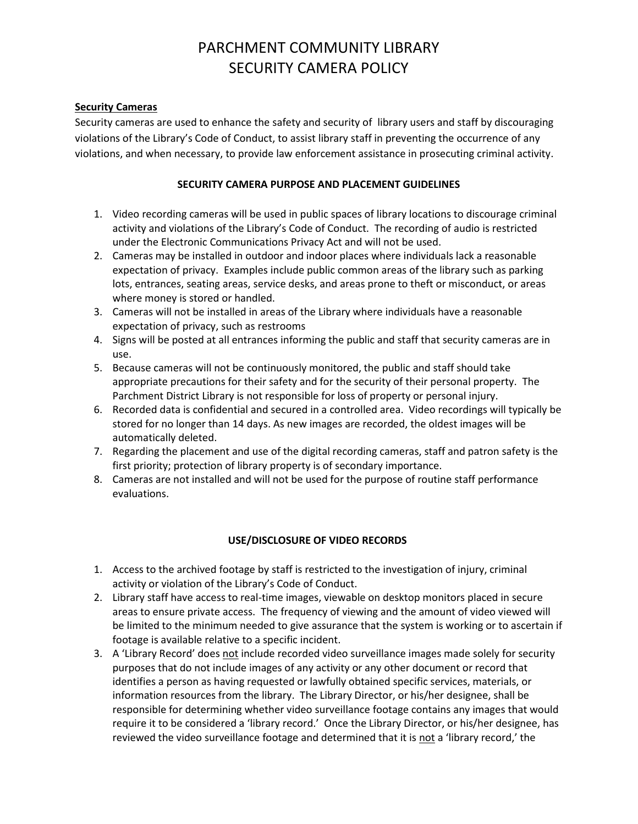# PARCHMENT COMMUNITY LIBRARY SECURITY CAMERA POLICY

#### **Security Cameras**

Security cameras are used to enhance the safety and security of library users and staff by discouraging violations of the Library's Code of Conduct, to assist library staff in preventing the occurrence of any violations, and when necessary, to provide law enforcement assistance in prosecuting criminal activity.

#### **SECURITY CAMERA PURPOSE AND PLACEMENT GUIDELINES**

- 1. Video recording cameras will be used in public spaces of library locations to discourage criminal activity and violations of the Library's Code of Conduct. The recording of audio is restricted under the Electronic Communications Privacy Act and will not be used.
- 2. Cameras may be installed in outdoor and indoor places where individuals lack a reasonable expectation of privacy. Examples include public common areas of the library such as parking lots, entrances, seating areas, service desks, and areas prone to theft or misconduct, or areas where money is stored or handled.
- 3. Cameras will not be installed in areas of the Library where individuals have a reasonable expectation of privacy, such as restrooms
- 4. Signs will be posted at all entrances informing the public and staff that security cameras are in use.
- 5. Because cameras will not be continuously monitored, the public and staff should take appropriate precautions for their safety and for the security of their personal property. The Parchment District Library is not responsible for loss of property or personal injury.
- 6. Recorded data is confidential and secured in a controlled area. Video recordings will typically be stored for no longer than 14 days. As new images are recorded, the oldest images will be automatically deleted.
- 7. Regarding the placement and use of the digital recording cameras, staff and patron safety is the first priority; protection of library property is of secondary importance.
- 8. Cameras are not installed and will not be used for the purpose of routine staff performance evaluations.

### **USE/DISCLOSURE OF VIDEO RECORDS**

- 1. Access to the archived footage by staff is restricted to the investigation of injury, criminal activity or violation of the Library's Code of Conduct.
- 2. Library staff have access to real-time images, viewable on desktop monitors placed in secure areas to ensure private access. The frequency of viewing and the amount of video viewed will be limited to the minimum needed to give assurance that the system is working or to ascertain if footage is available relative to a specific incident.
- 3. A 'Library Record' does not include recorded video surveillance images made solely for security purposes that do not include images of any activity or any other document or record that identifies a person as having requested or lawfully obtained specific services, materials, or information resources from the library. The Library Director, or his/her designee, shall be responsible for determining whether video surveillance footage contains any images that would require it to be considered a 'library record.' Once the Library Director, or his/her designee, has reviewed the video surveillance footage and determined that it is not a 'library record,' the